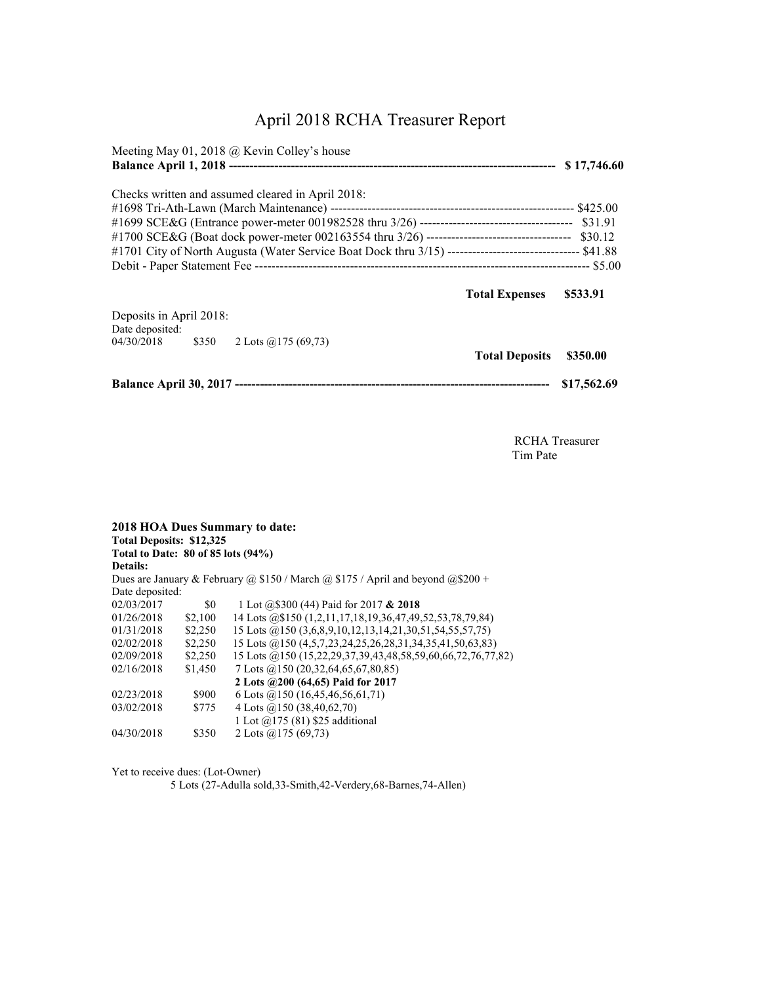## April 2018 RCHA Treasurer Report

| Meeting May 01, 2018 $@$ Kevin Colley's house                                                                                                                 |                       | \$17,746.60 |
|---------------------------------------------------------------------------------------------------------------------------------------------------------------|-----------------------|-------------|
| Checks written and assumed cleared in April 2018:<br>#1701 City of North Augusta (Water Service Boat Dock thru 3/15) -------------------------------- \$41.88 |                       |             |
|                                                                                                                                                               | <b>Total Expenses</b> | \$533.91    |
| Deposits in April 2018:<br>Date deposited:<br>04/30/2018 \$350 2 Lots @175 (69,73)                                                                            | <b>Total Deposits</b> | \$350.00    |
|                                                                                                                                                               |                       | \$17,562.69 |

 RCHA Treasurer Tim Pate

|                                    |         | 2018 HOA Dues Summary to date:                                                  |
|------------------------------------|---------|---------------------------------------------------------------------------------|
| <b>Total Deposits: \$12,325</b>    |         |                                                                                 |
| Total to Date: 80 of 85 lots (94%) |         |                                                                                 |
| <b>Details:</b>                    |         |                                                                                 |
|                                    |         | Dues are January & February @ \$150 / March @ \$175 / April and beyond @\$200 + |
| Date deposited:                    |         |                                                                                 |
| 02/03/2017                         | \$0     | 1 Lot $(20.8300)(44)$ Paid for 2017 & 2018                                      |
| 01/26/2018                         | \$2,100 | 14 Lots @\$150 (1,2,11,17,18,19,36,47,49,52,53,78,79,84)                        |
| 01/31/2018                         | \$2,250 | 15 Lots @150 (3,6,8,9,10,12,13,14,21,30,51,54,55,57,75)                         |
| 02/02/2018                         | \$2,250 | 15 Lots @150 (4,5,7,23,24,25,26,28,31,34,35,41,50,63,83)                        |
| 02/09/2018                         | \$2,250 | 15 Lots @150 (15,22,29,37,39,43,48,58,59,60,66,72,76,77,82)                     |
| 02/16/2018                         | \$1,450 | 7 Lots $(2150 (20, 32, 64, 65, 67, 80, 85))$                                    |
|                                    |         | 2 Lots @200 (64,65) Paid for 2017                                               |
| 02/23/2018                         | \$900   | 6 Lots $(2, 150)$ (16,45,46,56,61,71)                                           |
| 03/02/2018                         | \$775   | 4 Lots $(a)$ 150 (38,40,62,70)                                                  |
|                                    |         | 1 Lot @175 (81) \$25 additional                                                 |
| 04/30/2018                         | \$350   | 2 Lots $(a)$ 175 (69,73)                                                        |

Yet to receive dues: (Lot-Owner)

5 Lots (27-Adulla sold,33-Smith,42-Verdery,68-Barnes,74-Allen)